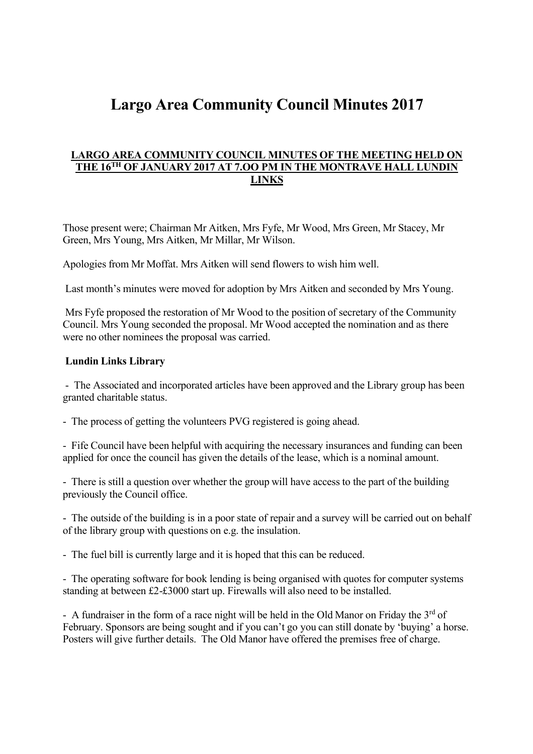# **Largo Area Community Council Minutes 2017**

#### **LARGO AREA COMMUNITY COUNCIL MINUTES OF THE MEETING HELD ON THE 16TH OF JANUARY 2017 AT 7.OO PM IN THE MONTRAVE HALL LUNDIN LINKS**

Those present were; Chairman Mr Aitken, Mrs Fyfe, Mr Wood, Mrs Green, Mr Stacey, Mr Green, Mrs Young, Mrs Aitken, Mr Millar, Mr Wilson.

Apologies from Mr Moffat. Mrs Aitken will send flowers to wish him well.

Last month's minutes were moved for adoption by Mrs Aitken and seconded by Mrs Young.

Mrs Fyfe proposed the restoration of Mr Wood to the position of secretary of the Community Council. Mrs Young seconded the proposal. Mr Wood accepted the nomination and as there were no other nominees the proposal was carried.

#### **Lundin Links Library**

- The Associated and incorporated articles have been approved and the Library group has been granted charitable status.

- The process of getting the volunteers PVG registered is going ahead.

- Fife Council have been helpful with acquiring the necessary insurances and funding can been applied for once the council has given the details of the lease, which is a nominal amount.

- There is still a question over whether the group will have access to the part of the building previously the Council office.

- The outside of the building is in a poor state of repair and a survey will be carried out on behalf of the library group with questions on e.g. the insulation.

- The fuel bill is currently large and it is hoped that this can be reduced.

- The operating software for book lending is being organised with quotes for computer systems standing at between £2-£3000 start up. Firewalls will also need to be installed.

- A fundraiser in the form of a race night will be held in the Old Manor on Friday the  $3<sup>rd</sup>$  of February. Sponsors are being sought and if you can't go you can still donate by 'buying' a horse. Posters will give further details. The Old Manor have offered the premises free of charge.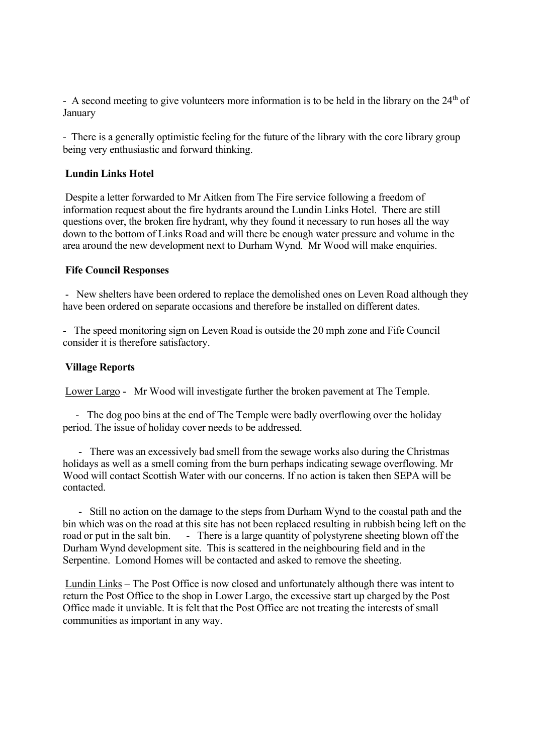- A second meeting to give volunteers more information is to be held in the library on the  $24<sup>th</sup>$  of January

- There is a generally optimistic feeling for the future of the library with the core library group being very enthusiastic and forward thinking.

### **Lundin Links Hotel**

Despite a letter forwarded to Mr Aitken from The Fire service following a freedom of information request about the fire hydrants around the Lundin Links Hotel. There are still questions over, the broken fire hydrant, why they found it necessary to run hoses all the way down to the bottom of Links Road and will there be enough water pressure and volume in the area around the new development next to Durham Wynd. Mr Wood will make enquiries.

#### **Fife Council Responses**

- New shelters have been ordered to replace the demolished ones on Leven Road although they have been ordered on separate occasions and therefore be installed on different dates.

- The speed monitoring sign on Leven Road is outside the 20 mph zone and Fife Council consider it is therefore satisfactory.

#### **Village Reports**

Lower Largo - Mr Wood will investigate further the broken pavement at The Temple.

- The dog poo bins at the end of The Temple were badly overflowing over the holiday period. The issue of holiday cover needs to be addressed.

- There was an excessively bad smell from the sewage works also during the Christmas holidays as well as a smell coming from the burn perhaps indicating sewage overflowing. Mr Wood will contact Scottish Water with our concerns. If no action is taken then SEPA will be contacted.

- Still no action on the damage to the steps from Durham Wynd to the coastal path and the bin which was on the road at this site has not been replaced resulting in rubbish being left on the road or put in the salt bin. - There is a large quantity of polystyrene sheeting blown off the Durham Wynd development site. This is scattered in the neighbouring field and in the Serpentine. Lomond Homes will be contacted and asked to remove the sheeting.

Lundin Links – The Post Office is now closed and unfortunately although there was intent to return the Post Office to the shop in Lower Largo, the excessive start up charged by the Post Office made it unviable. It is felt that the Post Office are not treating the interests of small communities as important in any way.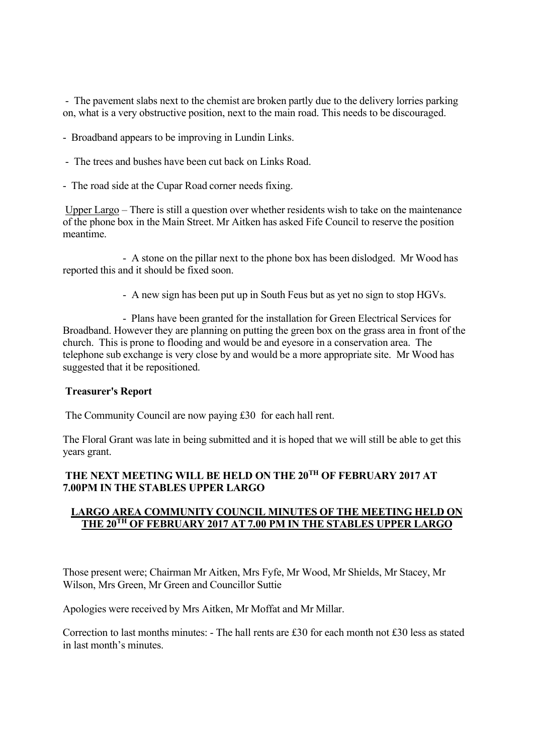- The pavement slabs next to the chemist are broken partly due to the delivery lorries parking on, what is a very obstructive position, next to the main road. This needs to be discouraged.

- Broadband appears to be improving in Lundin Links.
- The trees and bushes have been cut back on Links Road.
- The road side at the Cupar Road corner needs fixing.

Upper Largo – There is still a question over whether residents wish to take on the maintenance of the phone box in the Main Street. Mr Aitken has asked Fife Council to reserve the position meantime.

- A stone on the pillar next to the phone box has been dislodged. Mr Wood has reported this and it should be fixed soon.

- A new sign has been put up in South Feus but as yet no sign to stop HGVs.

- Plans have been granted for the installation for Green Electrical Services for Broadband. However they are planning on putting the green box on the grass area in front of the church. This is prone to flooding and would be and eyesore in a conservation area. The telephone sub exchange is very close by and would be a more appropriate site. Mr Wood has suggested that it be repositioned.

#### **Treasurer's Report**

The Community Council are now paying £30 for each hall rent.

The Floral Grant was late in being submitted and it is hoped that we will still be able to get this years grant.

### **THE NEXT MEETING WILL BE HELD ON THE 20TH OF FEBRUARY 2017 AT 7.00PM IN THE STABLES UPPER LARGO**

### **LARGO AREA COMMUNITY COUNCIL MINUTES OF THE MEETING HELD ON THE 20TH OF FEBRUARY 2017 AT 7.00 PM IN THE STABLES UPPER LARGO**

Those present were; Chairman Mr Aitken, Mrs Fyfe, Mr Wood, Mr Shields, Mr Stacey, Mr Wilson, Mrs Green, Mr Green and Councillor Suttie

Apologies were received by Mrs Aitken, Mr Moffat and Mr Millar.

Correction to last months minutes: - The hall rents are £30 for each month not £30 less as stated in last month's minutes.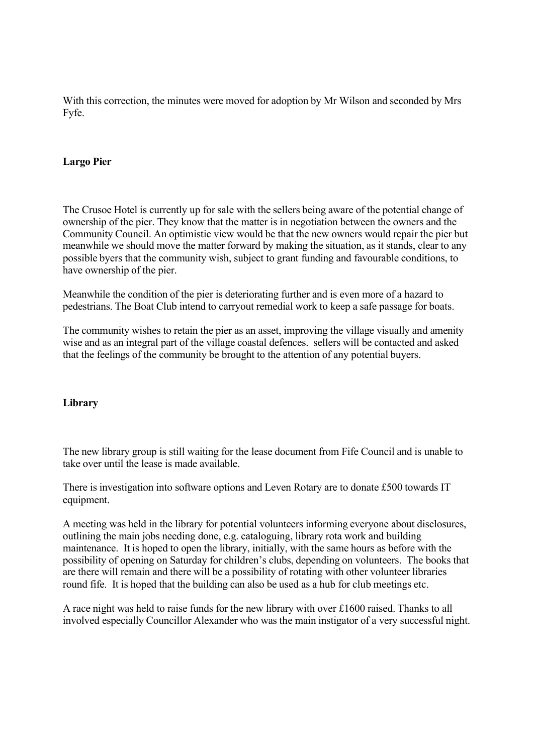With this correction, the minutes were moved for adoption by Mr Wilson and seconded by Mrs Fyfe.

#### **Largo Pier**

The Crusoe Hotel is currently up for sale with the sellers being aware of the potential change of ownership of the pier. They know that the matter is in negotiation between the owners and the Community Council. An optimistic view would be that the new owners would repair the pier but meanwhile we should move the matter forward by making the situation, as it stands, clear to any possible byers that the community wish, subject to grant funding and favourable conditions, to have ownership of the pier.

Meanwhile the condition of the pier is deteriorating further and is even more of a hazard to pedestrians. The Boat Club intend to carryout remedial work to keep a safe passage for boats.

The community wishes to retain the pier as an asset, improving the village visually and amenity wise and as an integral part of the village coastal defences. sellers will be contacted and asked that the feelings of the community be brought to the attention of any potential buyers.

#### **Library**

The new library group is still waiting for the lease document from Fife Council and is unable to take over until the lease is made available.

There is investigation into software options and Leven Rotary are to donate £500 towards IT equipment.

A meeting was held in the library for potential volunteers informing everyone about disclosures, outlining the main jobs needing done, e.g. cataloguing, library rota work and building maintenance. It is hoped to open the library, initially, with the same hours as before with the possibility of opening on Saturday for children's clubs, depending on volunteers. The books that are there will remain and there will be a possibility of rotating with other volunteer libraries round fife. It is hoped that the building can also be used as a hub for club meetings etc.

A race night was held to raise funds for the new library with over £1600 raised. Thanks to all involved especially Councillor Alexander who was the main instigator of a very successful night.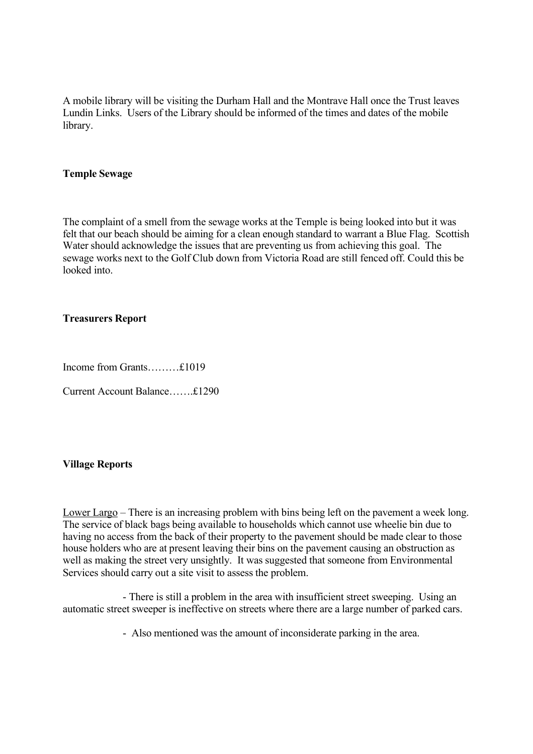A mobile library will be visiting the Durham Hall and the Montrave Hall once the Trust leaves Lundin Links. Users of the Library should be informed of the times and dates of the mobile library.

#### **Temple Sewage**

The complaint of a smell from the sewage works at the Temple is being looked into but it was felt that our beach should be aiming for a clean enough standard to warrant a Blue Flag. Scottish Water should acknowledge the issues that are preventing us from achieving this goal. The sewage works next to the Golf Club down from Victoria Road are still fenced off. Could this be looked into.

#### **Treasurers Report**

Income from Grants………£1019

Current Account Balance…….£1290

#### **Village Reports**

Lower Largo – There is an increasing problem with bins being left on the pavement a week long. The service of black bags being available to households which cannot use wheelie bin due to having no access from the back of their property to the pavement should be made clear to those house holders who are at present leaving their bins on the pavement causing an obstruction as well as making the street very unsightly. It was suggested that someone from Environmental Services should carry out a site visit to assess the problem.

- There is still a problem in the area with insufficient street sweeping. Using an automatic street sweeper is ineffective on streets where there are a large number of parked cars.

- Also mentioned was the amount of inconsiderate parking in the area.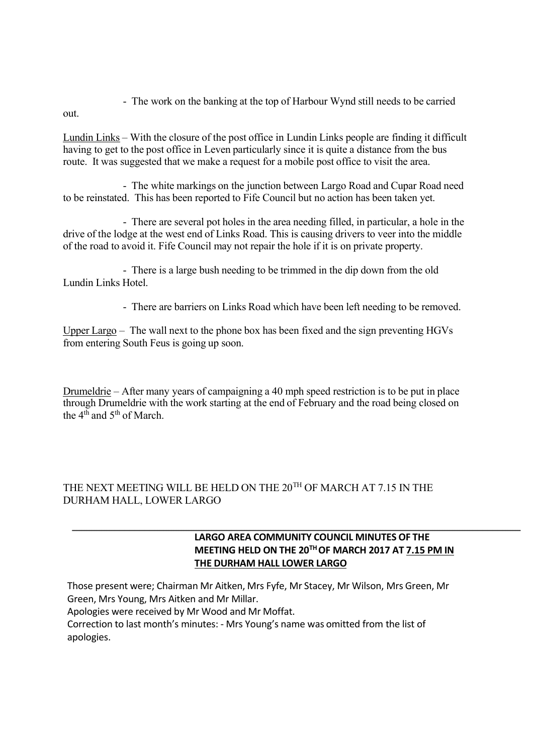- The work on the banking at the top of Harbour Wynd still needs to be carried

out.

Lundin Links – With the closure of the post office in Lundin Links people are finding it difficult having to get to the post office in Leven particularly since it is quite a distance from the bus route. It was suggested that we make a request for a mobile post office to visit the area.

- The white markings on the junction between Largo Road and Cupar Road need to be reinstated. This has been reported to Fife Council but no action has been taken yet.

- There are several pot holes in the area needing filled, in particular, a hole in the drive of the lodge at the west end of Links Road. This is causing drivers to veer into the middle of the road to avoid it. Fife Council may not repair the hole if it is on private property.

- There is a large bush needing to be trimmed in the dip down from the old Lundin Links Hotel.

- There are barriers on Links Road which have been left needing to be removed.

Upper Largo – The wall next to the phone box has been fixed and the sign preventing HGVs from entering South Feus is going up soon.

Drumeldrie – After many years of campaigning a 40 mph speed restriction is to be put in place through Drumeldrie with the work starting at the end of February and the road being closed on the  $4<sup>th</sup>$  and  $5<sup>th</sup>$  of March.

### THE NEXT MEETING WILL BE HELD ON THE 20TH OF MARCH AT 7.15 IN THE DURHAM HALL, LOWER LARGO

### **LARGO AREA COMMUNITY COUNCIL MINUTES OF THE MEETING HELD ON THE 20TH OF MARCH 2017 AT 7.15 PM IN THE DURHAM HALL LOWER LARGO**

Those present were; Chairman Mr Aitken, Mrs Fyfe, Mr Stacey, Mr Wilson, Mrs Green, Mr Green, Mrs Young, Mrs Aitken and Mr Millar.

Apologies were received by Mr Wood and Mr Moffat.

Correction to last month's minutes: - Mrs Young's name was omitted from the list of apologies.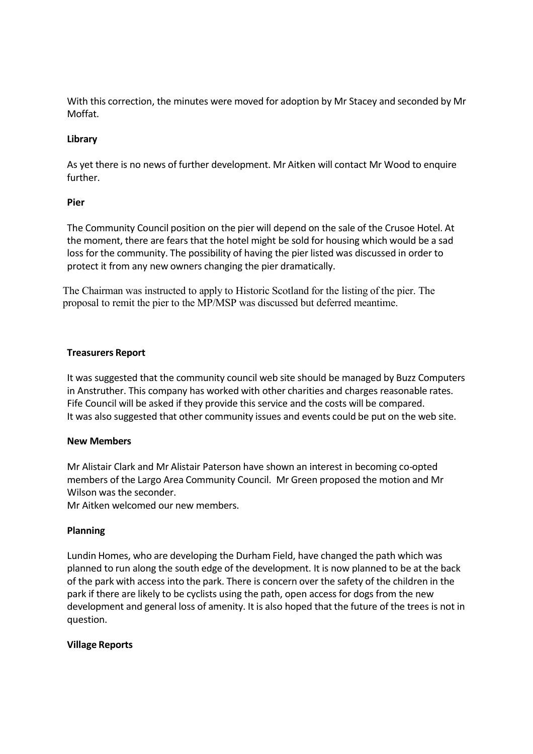With this correction, the minutes were moved for adoption by Mr Stacey and seconded by Mr Moffat.

### **Library**

As yet there is no news of further development. Mr Aitken will contact Mr Wood to enquire further.

### **Pier**

The Community Council position on the pier will depend on the sale of the Crusoe Hotel. At the moment, there are fears that the hotel might be sold for housing which would be a sad loss for the community. The possibility of having the pier listed was discussed in order to protect it from any new owners changing the pier dramatically.

The Chairman was instructed to apply to Historic Scotland for the listing of the pier. The proposal to remit the pier to the MP/MSP was discussed but deferred meantime.

### **Treasurers Report**

It was suggested that the community council web site should be managed by Buzz Computers in Anstruther. This company has worked with other charities and charges reasonable rates. Fife Council will be asked if they provide this service and the costs will be compared. It was also suggested that other community issues and events could be put on the web site.

#### **New Members**

Mr Alistair Clark and Mr Alistair Paterson have shown an interest in becoming co-opted members of the Largo Area Community Council. Mr Green proposed the motion and Mr Wilson was the seconder.

Mr Aitken welcomed our new members.

### **Planning**

Lundin Homes, who are developing the Durham Field, have changed the path which was planned to run along the south edge of the development. It is now planned to be at the back of the park with access into the park. There is concern over the safety of the children in the park if there are likely to be cyclists using the path, open access for dogs from the new development and general loss of amenity. It is also hoped that the future of the trees is not in question.

#### **Village Reports**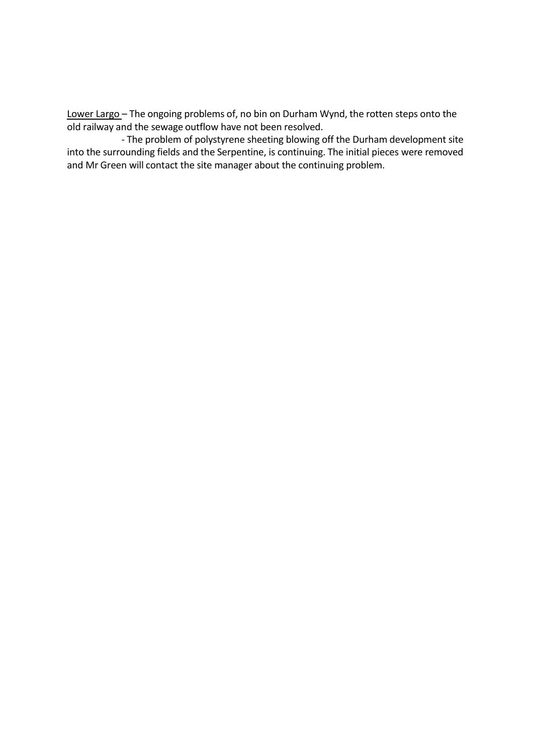Lower Largo – The ongoing problems of, no bin on Durham Wynd, the rotten steps onto the old railway and the sewage outflow have not been resolved.

- The problem of polystyrene sheeting blowing off the Durham development site into the surrounding fields and the Serpentine, is continuing. The initial pieces were removed and Mr Green will contact the site manager about the continuing problem.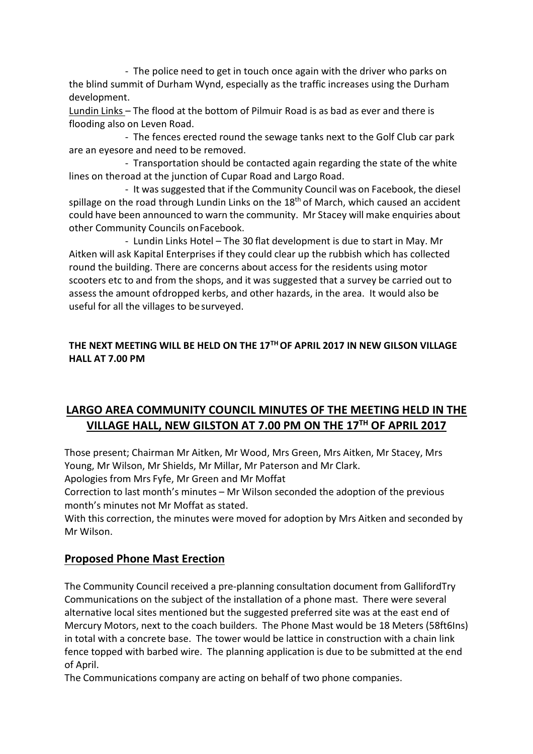- The police need to get in touch once again with the driver who parks on the blind summit of Durham Wynd, especially as the traffic increases using the Durham development.

Lundin Links – The flood at the bottom of Pilmuir Road is as bad as ever and there is flooding also on Leven Road.

- The fences erected round the sewage tanks next to the Golf Club car park are an eyesore and need to be removed.

- Transportation should be contacted again regarding the state of the white lines on theroad at the junction of Cupar Road and Largo Road.

- It was suggested that if the Community Council was on Facebook, the diesel spillage on the road through Lundin Links on the  $18<sup>th</sup>$  of March, which caused an accident could have been announced to warn the community. Mr Stacey will make enquiries about other Community Councils onFacebook.

- Lundin Links Hotel – The 30 flat development is due to start in May. Mr Aitken will ask Kapital Enterprises if they could clear up the rubbish which has collected round the building. There are concerns about access for the residents using motor scooters etc to and from the shops, and it was suggested that a survey be carried out to assess the amount ofdropped kerbs, and other hazards, in the area. It would also be useful for all the villages to besurveyed.

### **THE NEXT MEETING WILL BE HELD ON THE 17TH OF APRIL 2017 IN NEW GILSON VILLAGE HALL AT 7.00 PM**

# **LARGO AREA COMMUNITY COUNCIL MINUTES OF THE MEETING HELD IN THE VILLAGE HALL, NEW GILSTON AT 7.00 PM ON THE 17TH OF APRIL 2017**

Those present; Chairman Mr Aitken, Mr Wood, Mrs Green, Mrs Aitken, Mr Stacey, Mrs Young, Mr Wilson, Mr Shields, Mr Millar, Mr Paterson and Mr Clark.

Apologies from Mrs Fyfe, Mr Green and Mr Moffat

Correction to last month's minutes – Mr Wilson seconded the adoption of the previous month's minutes not Mr Moffat as stated.

With this correction, the minutes were moved for adoption by Mrs Aitken and seconded by Mr Wilson.

# **Proposed Phone Mast Erection**

The Community Council received a pre-planning consultation document from GallifordTry Communications on the subject of the installation of a phone mast. There were several alternative local sites mentioned but the suggested preferred site was at the east end of Mercury Motors, next to the coach builders. The Phone Mast would be 18 Meters (58ft6Ins) in total with a concrete base. The tower would be lattice in construction with a chain link fence topped with barbed wire. The planning application is due to be submitted at the end of April.

The Communications company are acting on behalf of two phone companies.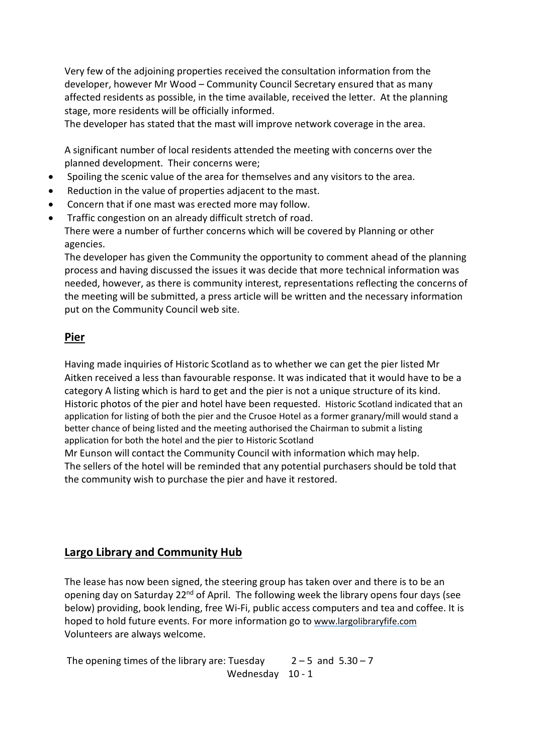Very few of the adjoining properties received the consultation information from the developer, however Mr Wood – Community Council Secretary ensured that as many affected residents as possible, in the time available, received the letter. At the planning stage, more residents will be officially informed.

The developer has stated that the mast will improve network coverage in the area.

A significant number of local residents attended the meeting with concerns over the planned development. Their concerns were;

- Spoiling the scenic value of the area for themselves and any visitors to the area.
- Reduction in the value of properties adjacent to the mast.
- Concern that if one mast was erected more may follow.
- Traffic congestion on an already difficult stretch of road. There were a number of further concerns which will be covered by Planning or other agencies.

The developer has given the Community the opportunity to comment ahead of the planning process and having discussed the issues it was decide that more technical information was needed, however, as there is community interest, representations reflecting the concerns of the meeting will be submitted, a press article will be written and the necessary information put on the Community Council web site.

# **Pier**

Having made inquiries of Historic Scotland as to whether we can get the pier listed Mr Aitken received a less than favourable response. It was indicated that it would have to be a category A listing which is hard to get and the pier is not a unique structure of its kind. Historic photos of the pier and hotel have been requested. Historic Scotland indicated that an application for listing of both the pier and the Crusoe Hotel as a former granary/mill would stand a better chance of being listed and the meeting authorised the Chairman to submit a listing application for both the hotel and the pier to Historic Scotland

Mr Eunson will contact the Community Council with information which may help. The sellers of the hotel will be reminded that any potential purchasers should be told that the community wish to purchase the pier and have it restored.

# **Largo Library and Community Hub**

The lease has now been signed, the steering group has taken over and there is to be an opening day on Saturday 22<sup>nd</sup> of April. The following week the library opens four days (see below) providing, book lending, free Wi-Fi, public access computers and tea and coffee. It is hoped to hold future events. For more information go to [www.largolibraryfife.com](http://www.largolibraryfife.com/) Volunteers are always welcome.

The opening times of the library are: Tuesday  $2-5$  and  $5.30-7$ Wednesday 10 - 1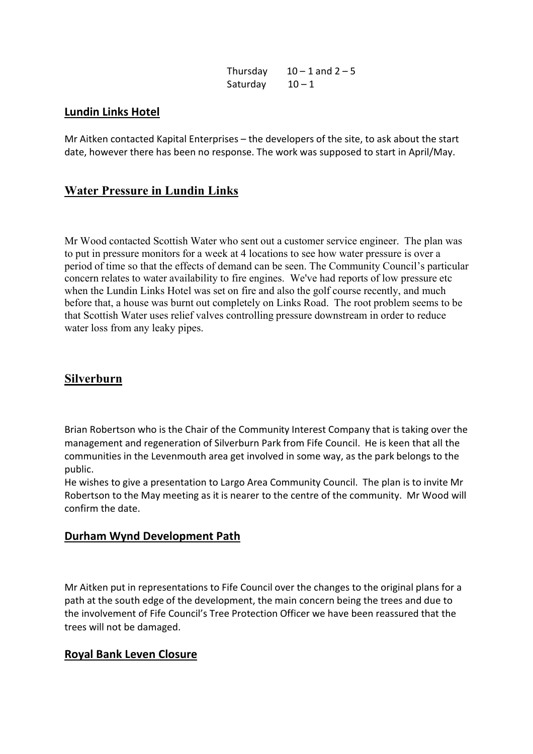| Thursday | $10 - 1$ and $2 - 5$ |
|----------|----------------------|
| Saturday | $10 - 1$             |

### **Lundin Links Hotel**

Mr Aitken contacted Kapital Enterprises – the developers of the site, to ask about the start date, however there has been no response. The work was supposed to start in April/May.

# **Water Pressure in Lundin Links**

Mr Wood contacted Scottish Water who sent out a customer service engineer. The plan was to put in pressure monitors for a week at 4 locations to see how water pressure is over a period of time so that the effects of demand can be seen. The Community Council's particular concern relates to water availability to fire engines. We've had reports of low pressure etc when the Lundin Links Hotel was set on fire and also the golf course recently, and much before that, a house was burnt out completely on Links Road. The root problem seems to be that Scottish Water uses relief valves controlling pressure downstream in order to reduce water loss from any leaky pipes.

# **Silverburn**

Brian Robertson who is the Chair of the Community Interest Company that is taking over the management and regeneration of Silverburn Park from Fife Council. He is keen that all the communities in the Levenmouth area get involved in some way, as the park belongs to the public.

He wishes to give a presentation to Largo Area Community Council. The plan is to invite Mr Robertson to the May meeting as it is nearer to the centre of the community. Mr Wood will confirm the date.

# **Durham Wynd Development Path**

Mr Aitken put in representations to Fife Council over the changes to the original plans for a path at the south edge of the development, the main concern being the trees and due to the involvement of Fife Council's Tree Protection Officer we have been reassured that the trees will not be damaged.

# **Royal Bank Leven Closure**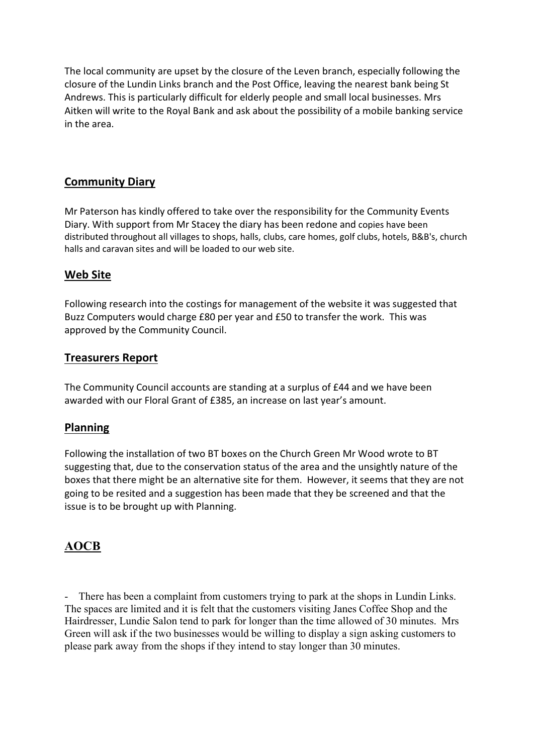The local community are upset by the closure of the Leven branch, especially following the closure of the Lundin Links branch and the Post Office, leaving the nearest bank being St Andrews. This is particularly difficult for elderly people and small local businesses. Mrs Aitken will write to the Royal Bank and ask about the possibility of a mobile banking service in the area.

# **Community Diary**

Mr Paterson has kindly offered to take over the responsibility for the Community Events Diary. With support from Mr Stacey the diary has been redone and copies have been distributed throughout all villages to shops, halls, clubs, care homes, golf clubs, hotels, B&B's, church halls and caravan sites and will be loaded to our web site.

# **Web Site**

Following research into the costings for management of the website it was suggested that Buzz Computers would charge £80 per year and £50 to transfer the work. This was approved by the Community Council.

# **Treasurers Report**

The Community Council accounts are standing at a surplus of £44 and we have been awarded with our Floral Grant of £385, an increase on last year's amount.

# **Planning**

Following the installation of two BT boxes on the Church Green Mr Wood wrote to BT suggesting that, due to the conservation status of the area and the unsightly nature of the boxes that there might be an alternative site for them. However, it seems that they are not going to be resited and a suggestion has been made that they be screened and that the issue is to be brought up with Planning.

# **AOCB**

- There has been a complaint from customers trying to park at the shops in Lundin Links. The spaces are limited and it is felt that the customers visiting Janes Coffee Shop and the Hairdresser, Lundie Salon tend to park for longer than the time allowed of 30 minutes. Mrs Green will ask if the two businesses would be willing to display a sign asking customers to please park away from the shops if they intend to stay longer than 30 minutes.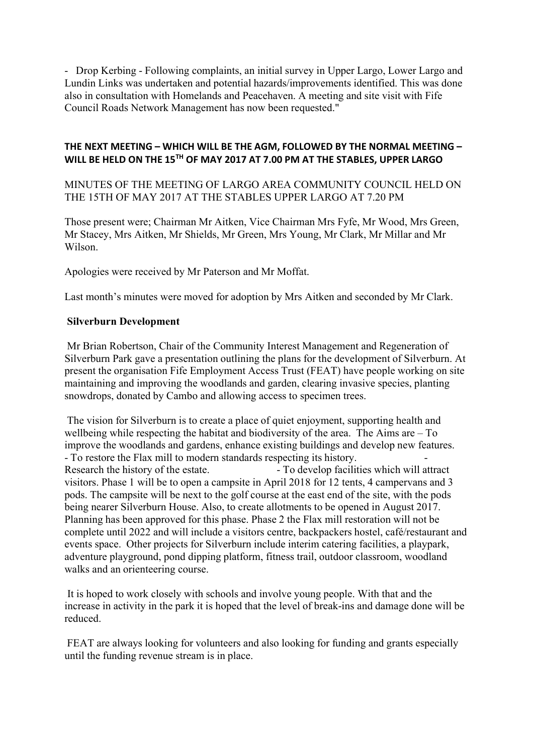- Drop Kerbing - Following complaints, an initial survey in Upper Largo, Lower Largo and Lundin Links was undertaken and potential hazards/improvements identified. This was done also in consultation with Homelands and Peacehaven. A meeting and site visit with Fife Council Roads Network Management has now been requested."

### **THE NEXT MEETING – WHICH WILL BE THE AGM, FOLLOWED BY THE NORMAL MEETING – WILL BE HELD ON THE 15TH OF MAY 2017 AT 7.00 PM AT THE STABLES, UPPER LARGO**

MINUTES OF THE MEETING OF LARGO AREA COMMUNITY COUNCIL HELD ON THE 15TH OF MAY 2017 AT THE STABLES UPPER LARGO AT 7.20 PM

Those present were; Chairman Mr Aitken, Vice Chairman Mrs Fyfe, Mr Wood, Mrs Green, Mr Stacey, Mrs Aitken, Mr Shields, Mr Green, Mrs Young, Mr Clark, Mr Millar and Mr Wilson.

Apologies were received by Mr Paterson and Mr Moffat.

Last month's minutes were moved for adoption by Mrs Aitken and seconded by Mr Clark.

### **Silverburn Development**

Mr Brian Robertson, Chair of the Community Interest Management and Regeneration of Silverburn Park gave a presentation outlining the plans for the development of Silverburn. At present the organisation Fife Employment Access Trust (FEAT) have people working on site maintaining and improving the woodlands and garden, clearing invasive species, planting snowdrops, donated by Cambo and allowing access to specimen trees.

The vision for Silverburn is to create a place of quiet enjoyment, supporting health and wellbeing while respecting the habitat and biodiversity of the area. The Aims are – To improve the woodlands and gardens, enhance existing buildings and develop new features. - To restore the Flax mill to modern standards respecting its history. - Research the history of the estate. - To develop facilities which will attract visitors. Phase 1 will be to open a campsite in April 2018 for 12 tents, 4 campervans and 3 pods. The campsite will be next to the golf course at the east end of the site, with the pods being nearer Silverburn House. Also, to create allotments to be opened in August 2017. Planning has been approved for this phase. Phase 2 the Flax mill restoration will not be complete until 2022 and will include a visitors centre, backpackers hostel, café/restaurant and events space. Other projects for Silverburn include interim catering facilities, a playpark, adventure playground, pond dipping platform, fitness trail, outdoor classroom, woodland walks and an orienteering course.

It is hoped to work closely with schools and involve young people. With that and the increase in activity in the park it is hoped that the level of break-ins and damage done will be reduced.

FEAT are always looking for volunteers and also looking for funding and grants especially until the funding revenue stream is in place.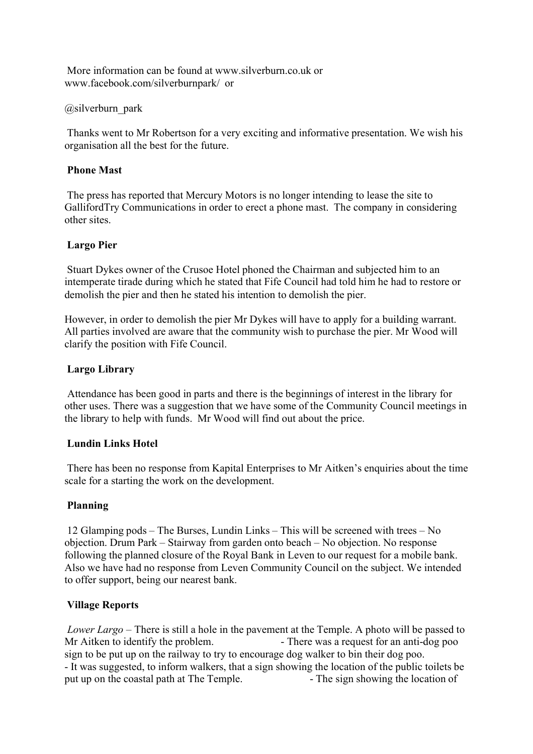[More information can be found at www.silverburn.co.uk or](More information can be found at www.silverburn.co.uk or )  [www.facebook.com/silverburnpark/ or](www.facebook.com/silverburnpark/  or ) 

### @silverburn\_park

Thanks went to Mr Robertson for a very exciting and informative presentation. We wish his organisation all the best for the future.

### **Phone Mast**

The press has reported that Mercury Motors is no longer intending to lease the site to GallifordTry Communications in order to erect a phone mast. The company in considering other sites.

### **Largo Pier**

Stuart Dykes owner of the Crusoe Hotel phoned the Chairman and subjected him to an intemperate tirade during which he stated that Fife Council had told him he had to restore or demolish the pier and then he stated his intention to demolish the pier.

However, in order to demolish the pier Mr Dykes will have to apply for a building warrant. All parties involved are aware that the community wish to purchase the pier. Mr Wood will clarify the position with Fife Council.

### **Largo Library**

Attendance has been good in parts and there is the beginnings of interest in the library for other uses. There was a suggestion that we have some of the Community Council meetings in the library to help with funds. Mr Wood will find out about the price.

#### **Lundin Links Hotel**

There has been no response from Kapital Enterprises to Mr Aitken's enquiries about the time scale for a starting the work on the development.

### **Planning**

12 Glamping pods – The Burses, Lundin Links – This will be screened with trees – No objection. Drum Park – Stairway from garden onto beach – No objection. No response following the planned closure of the Royal Bank in Leven to our request for a mobile bank. Also we have had no response from Leven Community Council on the subject. We intended to offer support, being our nearest bank.

### **Village Reports**

*Lower Largo* – There is still a hole in the pavement at the Temple. A photo will be passed to Mr Aitken to identify the problem. - There was a request for an anti-dog poo sign to be put up on the railway to try to encourage dog walker to bin their dog poo. - It was suggested, to inform walkers, that a sign showing the location of the public toilets be put up on the coastal path at The Temple. - The sign showing the location of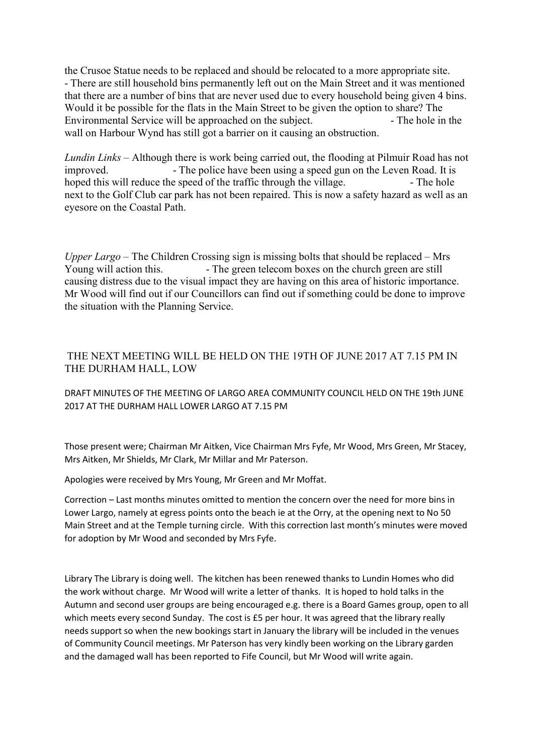the Crusoe Statue needs to be replaced and should be relocated to a more appropriate site. - There are still household bins permanently left out on the Main Street and it was mentioned that there are a number of bins that are never used due to every household being given 4 bins. Would it be possible for the flats in the Main Street to be given the option to share? The Environmental Service will be approached on the subject. The hole in the wall on Harbour Wynd has still got a barrier on it causing an obstruction.

*Lundin Links* – Although there is work being carried out, the flooding at Pilmuir Road has not improved. The police have been using a speed gun on the Leven Road. It is hoped this will reduce the speed of the traffic through the village.  $\blacksquare$ next to the Golf Club car park has not been repaired. This is now a safety hazard as well as an eyesore on the Coastal Path.

*Upper Largo* – The Children Crossing sign is missing bolts that should be replaced – Mrs Young will action this.  $\blacksquare$  - The green telecom boxes on the church green are still causing distress due to the visual impact they are having on this area of historic importance. Mr Wood will find out if our Councillors can find out if something could be done to improve the situation with the Planning Service.

### THE NEXT MEETING WILL BE HELD ON THE 19TH OF JUNE 2017 AT 7.15 PM IN THE DURHAM HALL, LOW

### DRAFT MINUTES OF THE MEETING OF LARGO AREA COMMUNITY COUNCIL HELD ON THE 19th JUNE 2017 AT THE DURHAM HALL LOWER LARGO AT 7.15 PM

Those present were; Chairman Mr Aitken, Vice Chairman Mrs Fyfe, Mr Wood, Mrs Green, Mr Stacey, Mrs Aitken, Mr Shields, Mr Clark, Mr Millar and Mr Paterson.

Apologies were received by Mrs Young, Mr Green and Mr Moffat.

Correction – Last months minutes omitted to mention the concern over the need for more bins in Lower Largo, namely at egress points onto the beach ie at the Orry, at the opening next to No 50 Main Street and at the Temple turning circle. With this correction last month's minutes were moved for adoption by Mr Wood and seconded by Mrs Fyfe.

Library The Library is doing well. The kitchen has been renewed thanks to Lundin Homes who did the work without charge. Mr Wood will write a letter of thanks. It is hoped to hold talks in the Autumn and second user groups are being encouraged e.g. there is a Board Games group, open to all which meets every second Sunday. The cost is £5 per hour. It was agreed that the library really needs support so when the new bookings start in January the library will be included in the venues of Community Council meetings. Mr Paterson has very kindly been working on the Library garden and the damaged wall has been reported to Fife Council, but Mr Wood will write again.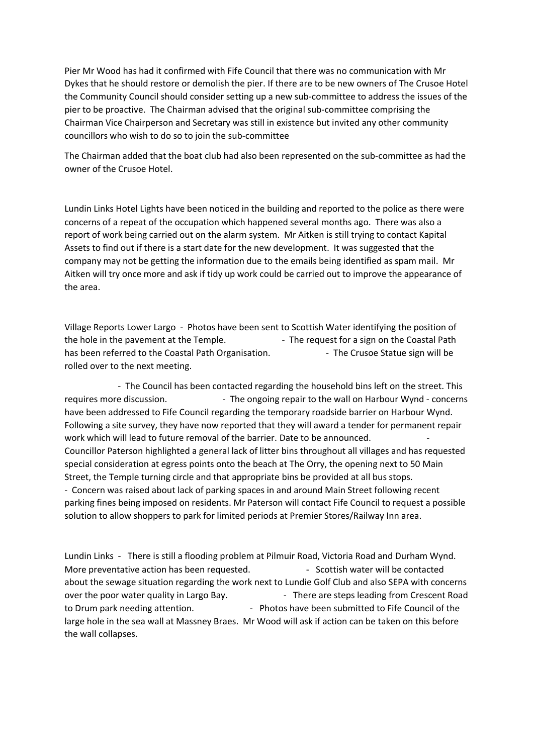Pier Mr Wood has had it confirmed with Fife Council that there was no communication with Mr Dykes that he should restore or demolish the pier. If there are to be new owners of The Crusoe Hotel the Community Council should consider setting up a new sub-committee to address the issues of the pier to be proactive. The Chairman advised that the original sub-committee comprising the Chairman Vice Chairperson and Secretary was still in existence but invited any other community councillors who wish to do so to join the sub-committee

The Chairman added that the boat club had also been represented on the sub-committee as had the owner of the Crusoe Hotel.

Lundin Links Hotel Lights have been noticed in the building and reported to the police as there were concerns of a repeat of the occupation which happened several months ago. There was also a report of work being carried out on the alarm system. Mr Aitken is still trying to contact Kapital Assets to find out if there is a start date for the new development. It was suggested that the company may not be getting the information due to the emails being identified as spam mail. Mr Aitken will try once more and ask if tidy up work could be carried out to improve the appearance of the area.

Village Reports Lower Largo - Photos have been sent to Scottish Water identifying the position of the hole in the pavement at the Temple. - The request for a sign on the Coastal Path has been referred to the Coastal Path Organisation. - The Crusoe Statue sign will be rolled over to the next meeting.

- The Council has been contacted regarding the household bins left on the street. This requires more discussion.  $\blacksquare$  - The ongoing repair to the wall on Harbour Wynd - concerns have been addressed to Fife Council regarding the temporary roadside barrier on Harbour Wynd. Following a site survey, they have now reported that they will award a tender for permanent repair work which will lead to future removal of the barrier. Date to be announced. - Councillor Paterson highlighted a general lack of litter bins throughout all villages and has requested special consideration at egress points onto the beach at The Orry, the opening next to 50 Main Street, the Temple turning circle and that appropriate bins be provided at all bus stops. - Concern was raised about lack of parking spaces in and around Main Street following recent parking fines being imposed on residents. Mr Paterson will contact Fife Council to request a possible solution to allow shoppers to park for limited periods at Premier Stores/Railway Inn area.

Lundin Links - There is still a flooding problem at Pilmuir Road, Victoria Road and Durham Wynd. More preventative action has been requested. - - Scottish water will be contacted about the sewage situation regarding the work next to Lundie Golf Club and also SEPA with concerns over the poor water quality in Largo Bay. - There are steps leading from Crescent Road to Drum park needing attention.  $\qquad \qquad$  - Photos have been submitted to Fife Council of the large hole in the sea wall at Massney Braes. Mr Wood will ask if action can be taken on this before the wall collapses.